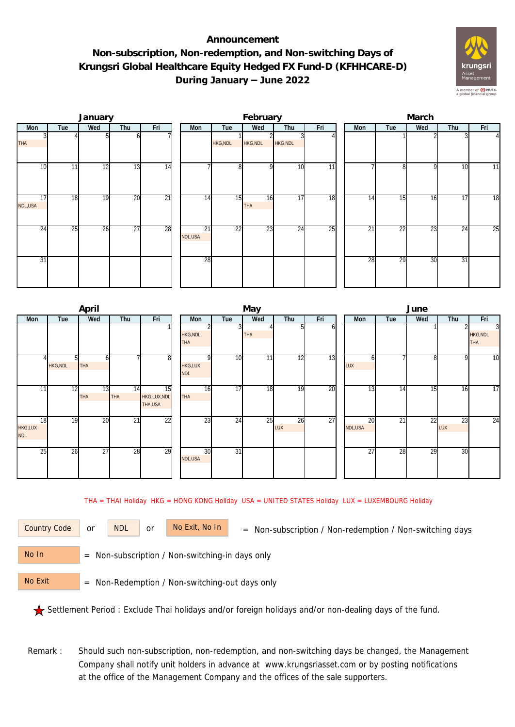## **Announcement Non-subscription, Non-redemption, and Non-switching Days of Krungsri Global Healthcare Equity Hedged FX Fund-D (KFHHCARE-D) During January – June 2022**



|               |     | January |                 |                 |               |                 | February         |          |     | March           |     |     |     |                |  |  |
|---------------|-----|---------|-----------------|-----------------|---------------|-----------------|------------------|----------|-----|-----------------|-----|-----|-----|----------------|--|--|
| Mon           | Tue | Wed     | Thu             | Fri             | Mon           | Tue             | Wed              | Thu      | Fri | Mon             | Tue | Wed | Thu | Fri            |  |  |
| <b>THA</b>    |     |         | ΩI              |                 |               | <b>HKG, NDL</b> | <b>HKG, NDL</b>  | HKG, NDL |     |                 |     |     |     | $\overline{4}$ |  |  |
| 10            | 11  | 12      | 13              | 14              |               | 8               |                  | 10       | 11  |                 | 8   | q   | 10  | 11             |  |  |
| 17<br>NDL,USA | 18  | 19      | 20              | $\overline{21}$ | 14            | 15              | 16<br><b>THA</b> | 17       | 18  | 14              | 15  | 16  | 17  | 18             |  |  |
| 24            | 25  | 26      | $\overline{27}$ | 28              | 21<br>NDL,USA | 22              | 23               | 24       | 25  | $\overline{2}1$ | 22  | 23  | 24  | 25             |  |  |
| 31            |     |         |                 |                 | 28            |                 |                  |          |     | 28              | 29  | 30  | 31  |                |  |  |

|                             | April                 |                  |                              |                               |                 | May        |           |     | June          |     |                 |           |                                    |  |  |
|-----------------------------|-----------------------|------------------|------------------------------|-------------------------------|-----------------|------------|-----------|-----|---------------|-----|-----------------|-----------|------------------------------------|--|--|
| Mon<br>Tue                  | Wed                   | Thu              | Fri                          | Mon                           | Tue             | Wed        | Thu       | Fri | Mon           | Tue | Wed             | Thu       | Fri                                |  |  |
|                             |                       |                  |                              | <b>HKG, NDL</b><br><b>THA</b> |                 | <b>THA</b> | 51        | ΩI  |               |     |                 |           | 3<br><b>HKG, NDL</b><br><b>THA</b> |  |  |
| <b>HKG, NDL</b>             | 51<br>n<br><b>THA</b> |                  | 8                            | <b>HKG,LUX</b><br><b>NDL</b>  | 10 <sup>1</sup> | 11         | 12        | 13  | n<br>LUX      |     | 8               | 9         | $\overline{10}$                    |  |  |
| 11                          | 12<br>13<br>THA       | 14<br><b>THA</b> | 15<br>HKG,LUX,NDL<br>THA,USA | 16<br><b>THA</b>              | 17              | 18         | 19        | 20  | 13            | 14  | 15              | 16        | 17                                 |  |  |
| 18<br>HKG,LUX<br><b>NDL</b> | 20<br>19              | 21               | 22                           | 23                            | 24              | 25         | 26<br>LUX | 27  | 20<br>NDL,USA | 21  | $2\overline{2}$ | 23<br>LUX | 24                                 |  |  |
| 25                          | 26<br>27              | 28               | 29                           | 30<br>NDL,USA                 | $\overline{31}$ |            |           |     | 27            | 28  | 29              | 30        |                                    |  |  |

THA = THAI Holiday HKG = HONG KONG Holiday USA = UNITED STATES Holiday LUX = LUXEMBOURG Holiday

or NDL or

Country Code or NDL or No Exit, No In = Non-subscription / Non-redemption / Non-switching days

 = Non-subscription / Non-switching-in days only No In

 = Non-Redemption / Non-switching-out days only No Exit

Settlement Period : Exclude Thai holidays and/or foreign holidays and/or non-dealing days of the fund.

 Remark : Should such non-subscription, non-redemption, and non-switching days be changed, the Management Company shall notify unit holders in advance at www.krungsriasset.com or by posting notifications at the office of the Management Company and the offices of the sale supporters.